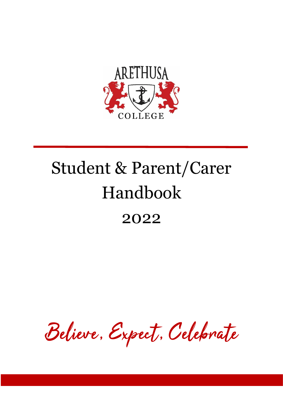

# Student & Parent/Carer Handbook 2022

Believe, Expect, Celebrate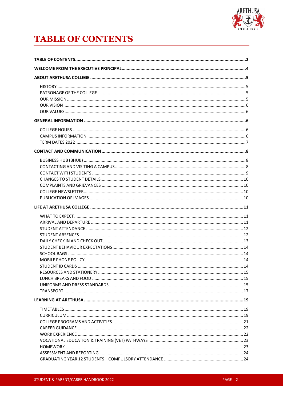

# **TABLE OF CONTENTS**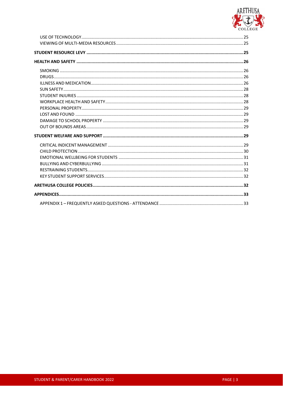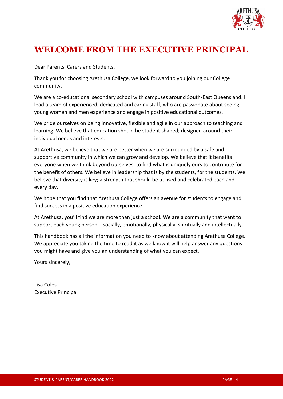

# **WELCOME FROM THE EXECUTIVE PRINCIPAL**

Dear Parents, Carers and Students,

Thank you for choosing Arethusa College, we look forward to you joining our College community.

We are a co-educational secondary school with campuses around South-East Queensland. I lead a team of experienced, dedicated and caring staff, who are passionate about seeing young women and men experience and engage in positive educational outcomes.

We pride ourselves on being innovative, flexible and agile in our approach to teaching and learning. We believe that education should be student shaped; designed around their individual needs and interests.

At Arethusa, we believe that we are better when we are surrounded by a safe and supportive community in which we can grow and develop. We believe that it benefits everyone when we think beyond ourselves; to find what is uniquely ours to contribute for the benefit of others. We believe in leadership that is by the students, for the students. We believe that diversity is key; a strength that should be utilised and celebrated each and every day.

We hope that you find that Arethusa College offers an avenue for students to engage and find success in a positive education experience.

At Arethusa, you'll find we are more than just a school. We are a community that want to support each young person – socially, emotionally, physically, spiritually and intellectually.

This handbook has all the information you need to know about attending Arethusa College. We appreciate you taking the time to read it as we know it will help answer any questions you might have and give you an understanding of what you can expect.

Yours sincerely,

Lisa Coles Executive Principal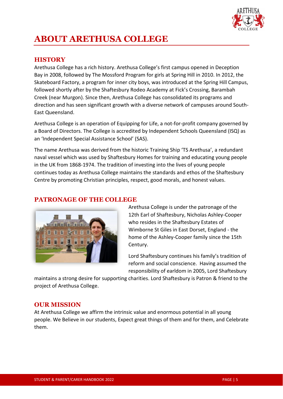

# **ABOUT ARETHUSA COLLEGE**

# **HISTORY**

Arethusa College has a rich history. Arethusa College's first campus opened in Deception Bay in 2008, followed by The Mossford Program for girls at Spring Hill in 2010. In 2012, the Skateboard Factory, a program for inner city boys, was introduced at the Spring Hill Campus, followed shortly after by the Shaftesbury Rodeo Academy at Fick's Crossing, Barambah Creek (near Murgon). Since then, Arethusa College has consolidated its programs and direction and has seen significant growth with a diverse network of campuses around South-East Queensland.

Arethusa College is an operation of Equipping for Life, a not-for-profit company governed by a Board of Directors. The College is accredited by Independent Schools Queensland (ISQ) as an 'Independent Special Assistance School' (SAS).

The name Arethusa was derived from the historic Training Ship 'TS Arethusa', a redundant naval vessel which was used by Shaftesbury Homes for training and educating young people in the UK from 1868-1974. The tradition of investing into the lives of young people continues today as Arethusa College maintains the standards and ethos of the Shaftesbury Centre by promoting Christian principles, respect, good morals, and honest values.

# **PATRONAGE OF THE COLLEGE**



Arethusa College is under the patronage of the 12th Earl of Shaftesbury, Nicholas Ashley-Cooper who resides in the Shaftesbury Estates of Wimborne St Giles in East Dorset, England - the home of the Ashley-Cooper family since the 15th Century.

Lord Shaftesbury continues his family's tradition of reform and social conscience. Having assumed the responsibility of earldom in 2005, Lord Shaftesbury

maintains a strong desire for supporting charities. Lord Shaftesbury is Patron & friend to the project of Arethusa College.

#### **OUR MISSION**

At Arethusa College we affirm the intrinsic value and enormous potential in all young people. We Believe in our students, Expect great things of them and for them, and Celebrate them.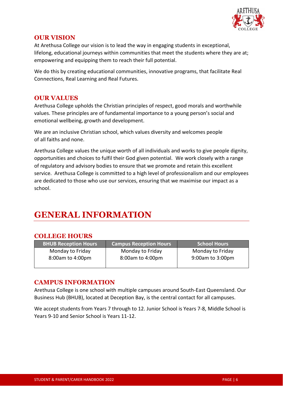

# **OUR VISION**

At Arethusa College our vision is to lead the way in engaging students in exceptional, lifelong, educational journeys within communities that meet the students where they are at; empowering and equipping them to reach their full potential.

We do this by creating educational communities, innovative programs, that facilitate Real Connections, Real Learning and Real Futures.

### **OUR VALUES**

Arethusa College upholds the Christian principles of respect, good morals and worthwhile values. These principles are of fundamental importance to a young person's social and emotional wellbeing, growth and development.

We are an inclusive Christian school, which values diversity and welcomes people of all faiths and none.

Arethusa College values the unique worth of all individuals and works to give people dignity, opportunities and choices to fulfil their God given potential. We work closely with a range of regulatory and advisory bodies to ensure that we promote and retain this excellent service. Arethusa College is committed to a high level of professionalism and our employees are dedicated to those who use our services, ensuring that we maximise our impact as a school.

# **GENERAL INFORMATION**

# **COLLEGE HOURS**

| <b>BHUB Reception Hours</b> | <b>Campus Reception Hours</b> | <b>School Hours</b> |
|-----------------------------|-------------------------------|---------------------|
| Monday to Friday            | Monday to Friday              | Monday to Friday    |
| 8:00am to 4:00pm            | 8:00am to 4:00pm              | 9:00am to 3:00pm    |

# **CAMPUS INFORMATION**

Arethusa College is one school with multiple campuses around South-East Queensland. Our Business Hub (BHUB), located at Deception Bay, is the central contact for all campuses.

We accept students from Years 7 through to 12. Junior School is Years 7-8, Middle School is Years 9-10 and Senior School is Years 11-12.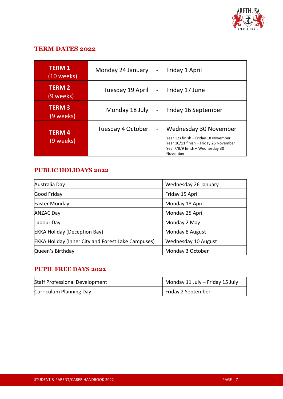

# **TERM DATES 2022**

| <b>TERM 1</b><br>(10 weeks) | Monday 24 January - |                | Friday 1 April                                                                                                                                         |
|-----------------------------|---------------------|----------------|--------------------------------------------------------------------------------------------------------------------------------------------------------|
| <b>TERM 2</b><br>(9 weeks)  | Tuesday 19 April -  |                | Friday 17 June                                                                                                                                         |
| <b>TERM3</b><br>(9 weeks)   | Monday 18 July -    |                | Friday 16 September                                                                                                                                    |
| <b>TERM4</b><br>(9 weeks).  | Tuesday 4 October   | $\blacksquare$ | Wednesday 30 November<br>Year 12s finish – Friday 18 November<br>Year 10/11 finish - Friday 25 November<br>Year7/8/9 finish - Wednesday 30<br>November |

# **PUBLIC HOLIDAYS 2022**

| Australia Day                                             | Wednesday 26 January |
|-----------------------------------------------------------|----------------------|
| Good Friday                                               | Friday 15 April      |
| Easter Monday                                             | Monday 18 April      |
| <b>ANZAC Day</b>                                          | Monday 25 April      |
| Labour Day                                                | Monday 2 May         |
| <b>EKKA Holiday (Deception Bay)</b>                       | Monday 8 August      |
| <b>EKKA Holiday (Inner City and Forest Lake Campuses)</b> | Wednesday 10 August  |
| Queen's Birthday                                          | Monday 3 October     |

# **PUPIL FREE DAYS 2022**

| <b>Staff Professional Development</b> | Monday 11 July - Friday 15 July |
|---------------------------------------|---------------------------------|
| Curriculum Planning Day               | Friday 2 September              |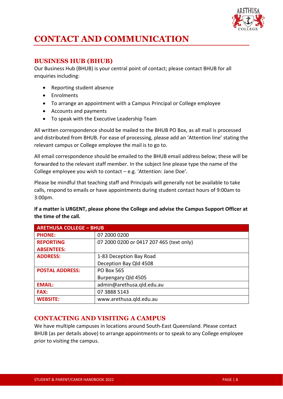

# **CONTACT AND COMMUNICATION**

# **BUSINESS HUB (BHUB)**

Our Business Hub (BHUB) is your central point of contact; please contact BHUB for all enquiries including:

- Reporting student absence
- Enrolments
- To arrange an appointment with a Campus Principal or College employee
- Accounts and payments
- To speak with the Executive Leadership Team

All written correspondence should be mailed to the BHUB PO Box, as all mail is processed and distributed from BHUB. For ease of processing, please add an 'Attention line' stating the relevant campus or College employee the mail is to go to.

All email correspondence should be emailed to the BHUB email address below; these will be forwarded to the relevant staff member. In the subject line please type the name of the College employee you wish to contact – e.g. 'Attention: Jane Doe'.

Please be mindful that teaching staff and Principals will generally not be available to take calls, respond to emails or have appointments during student contact hours of 9:00am to 3:00pm.

**If a matter is URGENT, please phone the College and advise the Campus Support Officer at the time of the call.**

| <b>ARETHUSA COLLEGE - BHUB</b> |                                          |  |
|--------------------------------|------------------------------------------|--|
| <b>PHONE:</b>                  | 07 2000 0200                             |  |
| <b>REPORTING</b>               | 07 2000 0200 or 0417 207 465 (text only) |  |
| <b>ABSENTEES:</b>              |                                          |  |
| <b>ADDRESS:</b>                | 1-83 Deception Bay Road                  |  |
|                                | Deception Bay Qld 4508                   |  |
| <b>POSTAL ADDRESS:</b>         | <b>PO Box 565</b>                        |  |
|                                | Burpengary Qld 4505                      |  |
| <b>EMAIL:</b>                  | admin@arethusa.qld.edu.au                |  |
| <b>FAX:</b>                    | 07 3888 5143                             |  |
| <b>WEBSITE:</b>                | www.arethusa.qld.edu.au                  |  |

# **CONTACTING AND VISITING A CAMPUS**

We have multiple campuses in locations around South-East Queensland. Please contact BHUB (as per details above) to arrange appointments or to speak to any College employee prior to visiting the campus.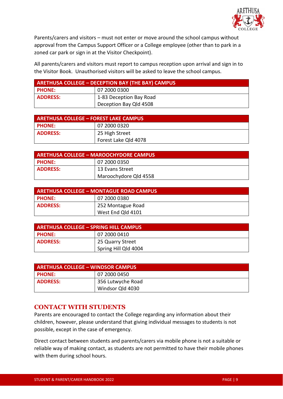

Parents/carers and visitors – must not enter or move around the school campus without approval from the Campus Support Officer or a College employee (other than to park in a zoned car park or sign in at the Visitor Checkpoint).

All parents/carers and visitors must report to campus reception upon arrival and sign in to the Visitor Book. Unauthorised visitors will be asked to leave the school campus.

| ARETHUSA COLLEGE - DECEPTION BAY (THE BAY) CAMPUS |                         |  |
|---------------------------------------------------|-------------------------|--|
| <b>PHONE:</b>                                     | 07 2000 0300            |  |
| <b>ADDRESS:</b>                                   | 1-83 Deception Bay Road |  |
|                                                   | Deception Bay Qld 4508  |  |

| <b>ARETHUSA COLLEGE - FOREST LAKE CAMPUS</b> |                      |
|----------------------------------------------|----------------------|
| <b>PHONE:</b>                                | 07 2000 0320         |
| <b>ADDRESS:</b>                              | 25 High Street       |
|                                              | Forest Lake Qld 4078 |

| <b>ARETHUSA COLLEGE - MAROOCHYDORE CAMPUS</b> |                       |
|-----------------------------------------------|-----------------------|
| <b>PHONE:</b>                                 | 07 2000 0350          |
| <b>ADDRESS:</b>                               | 13 Evans Street       |
|                                               | Maroochydore Qld 4558 |

| <b>ARETHUSA COLLEGE - MONTAGUE ROAD CAMPUS</b> |                   |  |
|------------------------------------------------|-------------------|--|
| <b>PHONE:</b>                                  | 07 2000 0380      |  |
| <b>ADDRESS:</b>                                | 252 Montague Road |  |
|                                                | West End Qld 4101 |  |

| ARETHUSA COLLEGE – SPRING HILL CAMPUS |                      |
|---------------------------------------|----------------------|
| <b>PHONE:</b>                         | 07 2000 0410         |
| <b>ADDRESS:</b>                       | 25 Quarry Street     |
|                                       | Spring Hill Qld 4004 |

| ARETHUSA COLLEGE – WINDSOR CAMPUS, |                   |
|------------------------------------|-------------------|
| <b>PHONE:</b>                      | 07 2000 0450      |
| <b>ADDRESS:</b>                    | 356 Lutwyche Road |
|                                    | Windsor Qld 4030  |

#### **CONTACT WITH STUDENTS**

Parents are encouraged to contact the College regarding any information about their children, however, please understand that giving individual messages to students is not possible, except in the case of emergency.

Direct contact between students and parents/carers via mobile phone is not a suitable or reliable way of making contact, as students are not permitted to have their mobile phones with them during school hours.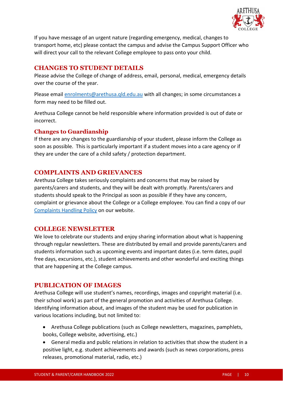

If you have message of an urgent nature (regarding emergency, medical, changes to transport home, etc) please contact the campus and advise the Campus Support Officer who will direct your call to the relevant College employee to pass onto your child.

# **CHANGES TO STUDENT DETAILS**

Please advise the College of change of address, email, personal, medical, emergency details over the course of the year.

Please email [enrolments@arethusa.qld.edu.au](mailto:enrolments@arethusa.qld.edu.au) with all changes; in some circumstances a form may need to be filled out.

Arethusa College cannot be held responsible where information provided is out of date or incorrect.

#### **Changes to Guardianship**

If there are any changes to the guardianship of your student, please inform the College as soon as possible. This is particularly important if a student moves into a care agency or if they are under the care of a child safety / protection department.

# **COMPLAINTS AND GRIEVANCES**

Arethusa College takes seriously complaints and concerns that may be raised by parents/carers and students, and they will be dealt with promptly. Parents/carers and students should speak to the Principal as soon as possible if they have any concern, complaint or grievance about the College or a College employee. You can find a copy of our [Complaints Handling Policy](https://www.arethusa.qld.edu.au/policies/) on our website.

# **COLLEGE NEWSLETTER**

We love to celebrate our students and enjoy sharing information about what is happening through regular newsletters. These are distributed by email and provide parents/carers and students information such as upcoming events and important dates (i.e. term dates, pupil free days, excursions, etc.), student achievements and other wonderful and exciting things that are happening at the College campus.

#### **PUBLICATION OF IMAGES**

Arethusa College will use student's names, recordings, images and copyright material (i.e. their school work) as part of the general promotion and activities of Arethusa College. Identifying information about, and images of the student may be used for publication in various locations including, but not limited to:

- Arethusa College publications (such as College newsletters, magazines, pamphlets, books, College website, advertising, etc.)
- General media and public relations in relation to activities that show the student in a positive light, e.g. student achievements and awards (such as news corporations, press releases, promotional material, radio, etc.)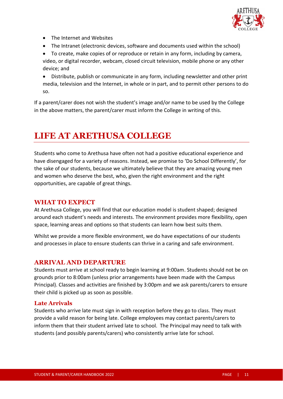

- The Internet and Websites
- The Intranet (electronic devices, software and documents used within the school)
- To create, make copies of or reproduce or retain in any form, including by camera, video, or digital recorder, webcam, closed circuit television, mobile phone or any other device; and
- Distribute, publish or communicate in any form, including newsletter and other print media, television and the Internet, in whole or in part, and to permit other persons to do so.

If a parent/carer does not wish the student's image and/or name to be used by the College in the above matters, the parent/carer must inform the College in writing of this.

# **LIFE AT ARETHUSA COLLEGE**

Students who come to Arethusa have often not had a positive educational experience and have disengaged for a variety of reasons. Instead, we promise to 'Do School Differently', for the sake of our students, because we ultimately believe that they are amazing young men and women who deserve the best, who, given the right environment and the right opportunities, are capable of great things.

### **WHAT TO EXPECT**

At Arethusa College, you will find that our education model is student shaped; designed around each student's needs and interests. The environment provides more flexibility, open space, learning areas and options so that students can learn how best suits them.

Whilst we provide a more flexible environment, we do have expectations of our students and processes in place to ensure students can thrive in a caring and safe environment.

# **ARRIVAL AND DEPARTURE**

Students must arrive at school ready to begin learning at 9:00am. Students should not be on grounds prior to 8:00am (unless prior arrangements have been made with the Campus Principal). Classes and activities are finished by 3:00pm and we ask parents/carers to ensure their child is picked up as soon as possible.

#### **Late Arrivals**

Students who arrive late must sign in with reception before they go to class. They must provide a valid reason for being late. College employees may contact parents/carers to inform them that their student arrived late to school. The Principal may need to talk with students (and possibly parents/carers) who consistently arrive late for school.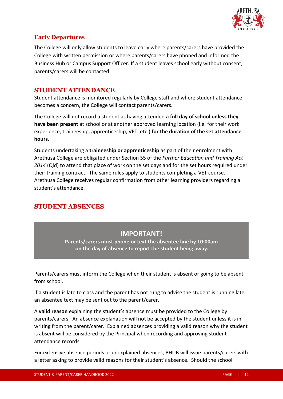

### **Early Departures**

The College will only allow students to leave early where parents/carers have provided the College with written permission or where parents/carers have phoned and informed the Business Hub or Campus Support Officer. If a student leaves school early without consent, parents/carers will be contacted.

#### **STUDENT ATTENDANCE**

Student attendance is monitored regularly by College staff and where student attendance becomes a concern, the College will contact parents/carers.

The College will not record a student as having attended **a full day of school unless they have been present** at school or at another approved learning location (i.e. for their work experience, traineeship, apprenticeship, VET, etc.) **for the duration of the set attendance hours.** 

Students undertaking a **traineeship or apprenticeship** as part of their enrolment with Arethusa College are obligated under Section 55 of the *Further Education and Training Act 2014* (Qld) to attend that place of work on the set days and for the set hours required under their training contract. The same rules apply to students completing a VET course. Arethusa College receives regular confirmation from other learning providers regarding a student's attendance.

# **STUDENT ABSENCES**

# **IMPORTANT!**

**Parents/carers must phone or text the absentee line by 10:00am on the day of absence to report the student being away.**

Parents/carers must inform the College when their student is absent or going to be absent from school.

If a student is late to class and the parent has not rung to advise the student is running late, an absentee text may be sent out to the parent/carer.

A **valid reason** explaining the student's absence must be provided to the College by parents/carers. An absence explanation will not be accepted by the student unless it is in writing from the parent/carer. Explained absences providing a valid reason why the student is absent will be considered by the Principal when recording and approving student attendance records.

For extensive absence periods or unexplained absences, BHUB will issue parents/carers with a letter asking to provide valid reasons for their student's absence. Should the school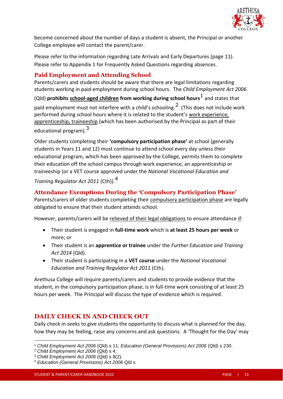

become concerned about the number of days a student is absent, the Principal or another College employee will contact the parent/carer.

Please refer to the information regarding Late Arrivals and Early Departures (page 11). Please refer to Appendix 1 for Frequently Asked Questions regarding absences.

# **Paid Employment and Attending School**

Parents/carers and students should be aware that there are legal limitations regarding students working in paid employment during school hours. The *Child Employment Act 2006*

(Qld) **prohibits school-aged children from working during school hours**<sup>1</sup> and states that paid employment must not interfere with a child's schooling.<sup>2</sup> (This does not include work performed during school hours where it is related to the student's work experience, apprenticeship, traineeship (which has been authorised by the Principal as part of their educational program). <sup>3</sup>

Older students completing their **'compulsory participation phase'** at school (generally students in Years 11 and 12) must continue to attend school every day unless their educational program, which has been approved by the College, permits them to complete their education off the school campus through work experience, an apprenticeship or traineeship (or a VET course approved under the *National Vocational Education and Training Regulator Act 2011* (Cth)).<sup>4</sup>

# **Attendance Exemptions During the 'Compulsory Participation Phase'**

Parents/carers of older students completing their compulsory participation phase are legally obligated to ensure that their student attends school.

However, parents/carers will be relieved of their legal obligations to ensure attendance if:

- Their student is engaged in **full-time work** which is **at least 25 hours per week** or more; or
- Their student is an **apprentice or trainee** under the *Further Education and Training Act 2014* (Qld).
- Their student is participating in a **VET course** under the *National Vocational Education and Training Regulator Act 2011* (Cth).

Arethusa College will require parents/carers and students to provide evidence that the student, in the compulsory participation phase, is in full-time work consisting of at least 25 hours per week. The Principal will discuss the type of evidence which is required.

# **DAILY CHECK IN AND CHECK OUT**

Daily check in seeks to give students the opportunity to discuss what is planned for the day, how they may be feeling, raise any concerns and ask questions. A 'Thought for the Day' may

<sup>1</sup> *Child Employment Act 2006* (Qld) s 11; *Education (General Provisions) Act 2006* (Qld) s 230.

<sup>2</sup> *Child Employment Act 2006* (Qld) s 4.

<sup>3</sup> *Child Employment Act 2006* (Qld) s 8(2).

<sup>4</sup> *Education (General Provisions) Act 2006* Qld s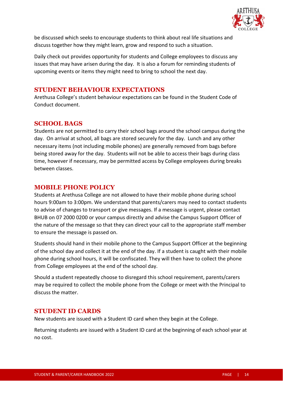

be discussed which seeks to encourage students to think about real life situations and discuss together how they might learn, grow and respond to such a situation.

Daily check out provides opportunity for students and College employees to discuss any issues that may have arisen during the day. It is also a forum for reminding students of upcoming events or items they might need to bring to school the next day.

### **STUDENT BEHAVIOUR EXPECTATIONS**

Arethusa College's student behaviour expectations can be found in the Student Code of Conduct document.

# **SCHOOL BAGS**

Students are not permitted to carry their school bags around the school campus during the day. On arrival at school, all bags are stored securely for the day. Lunch and any other necessary items (not including mobile phones) are generally removed from bags before being stored away for the day. Students will not be able to access their bags during class time, however if necessary, may be permitted access by College employees during breaks between classes.

# **MOBILE PHONE POLICY**

Students at Arethusa College are not allowed to have their mobile phone during school hours 9:00am to 3:00pm. We understand that parents/carers may need to contact students to advise of changes to transport or give messages. If a message is urgent, please contact BHUB on 07 2000 0200 or your campus directly and advise the Campus Support Officer of the nature of the message so that they can direct your call to the appropriate staff member to ensure the message is passed on.

Students should hand in their mobile phone to the Campus Support Officer at the beginning of the school day and collect it at the end of the day. If a student is caught with their mobile phone during school hours, it will be confiscated. They will then have to collect the phone from College employees at the end of the school day.

Should a student repeatedly choose to disregard this school requirement, parents/carers may be required to collect the mobile phone from the College or meet with the Principal to discuss the matter.

#### **STUDENT ID CARDS**

New students are issued with a Student ID card when they begin at the College.

Returning students are issued with a Student ID card at the beginning of each school year at no cost.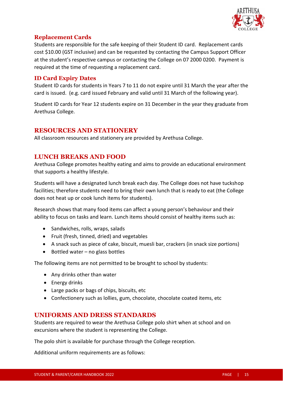

#### **Replacement Cards**

Students are responsible for the safe keeping of their Student ID card. Replacement cards cost \$10.00 (GST inclusive) and can be requested by contacting the Campus Support Officer at the student's respective campus or contacting the College on 07 2000 0200. Payment is required at the time of requesting a replacement card.

#### **ID Card Expiry Dates**

Student ID cards for students in Years 7 to 11 do not expire until 31 March the year after the card is issued. (e.g. card issued February and valid until 31 March of the following year).

Student ID cards for Year 12 students expire on 31 December in the year they graduate from Arethusa College.

#### **RESOURCES AND STATIONERY**

All classroom resources and stationery are provided by Arethusa College.

# **LUNCH BREAKS AND FOOD**

Arethusa College promotes healthy eating and aims to provide an educational environment that supports a healthy lifestyle.

Students will have a designated lunch break each day. The College does not have tuckshop facilities; therefore students need to bring their own lunch that is ready to eat (the College does not heat up or cook lunch items for students).

Research shows that many food items can affect a young person's behaviour and their ability to focus on tasks and learn. Lunch items should consist of healthy items such as:

- Sandwiches, rolls, wraps, salads
- Fruit (fresh, tinned, dried) and vegetables
- A snack such as piece of cake, biscuit, muesli bar, crackers (in snack size portions)
- Bottled water no glass bottles

The following items are not permitted to be brought to school by students:

- Any drinks other than water
- Energy drinks
- Large packs or bags of chips, biscuits, etc
- Confectionery such as lollies, gum, chocolate, chocolate coated items, etc

#### **UNIFORMS AND DRESS STANDARDS**

Students are required to wear the Arethusa College polo shirt when at school and on excursions where the student is representing the College.

The polo shirt is available for purchase through the College reception.

Additional uniform requirements are as follows: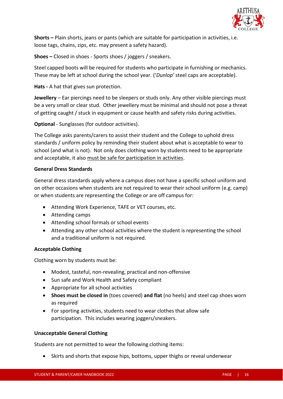

**Shorts –** Plain shorts, jeans or pants (which are suitable for participation in activities, i.e. loose tags, chains, zips, etc. may present a safety hazard).

**Shoes –** Closed in shoes - Sports shoes / joggers / sneakers.

Steel capped boots will be required for students who participate in furnishing or mechanics. These may be left at school during the school year. ('*Dunlop'* steel caps are acceptable).

#### **Hats -** A hat that gives sun protection.

**Jewellery** – Ear piercings need to be sleepers or studs only. Any other visible piercings must be a very small or clear stud. Other jewellery must be minimal and should not pose a threat of getting caught / stuck in equipment or cause health and safety risks during activities.

**Optional** - Sunglasses (for outdoor activities).

The College asks parents/carers to assist their student and the College to uphold dress standards / uniform policy by reminding their student about what is acceptable to wear to school (and what is not). Not only does clothing worn by students need to be appropriate and acceptable, it also must be safe for participation in activities.

#### **General Dress Standards**

General dress standards apply where a campus does not have a specific school uniform and on other occasions when students are not required to wear their school uniform (e.g. camp) or when students are representing the College or are off campus for:

- Attending Work Experience, TAFE or VET courses, etc.
- Attending camps
- Attending school formals or school events
- Attending any other school activities where the student is representing the school and a traditional uniform is not required.

#### **Acceptable Clothing**

Clothing worn by students must be:

- Modest, tasteful, non-revealing, practical and non-offensive
- Sun safe and Work Health and Safety compliant
- Appropriate for all school activities
- **Shoes must be closed in** (toes covered) **and flat** (no heels) and steel cap shoes worn as required
- For sporting activities, students need to wear clothes that allow safe participation. This includes wearing joggers/sneakers.

#### **Unacceptable General Clothing**

Students are not permitted to wear the following clothing items:

• Skirts and shorts that expose hips, bottoms, upper thighs or reveal underwear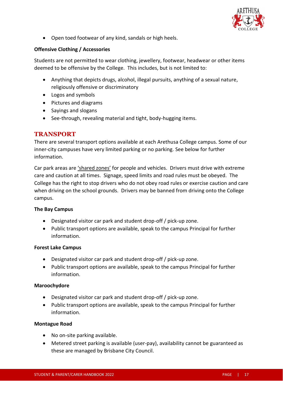

• Open toed footwear of any kind, sandals or high heels.

#### **Offensive Clothing / Accessories**

Students are not permitted to wear clothing, jewellery, footwear, headwear or other items deemed to be offensive by the College. This includes, but is not limited to:

- Anything that depicts drugs, alcohol, illegal pursuits, anything of a sexual nature, religiously offensive or discriminatory
- Logos and symbols
- Pictures and diagrams
- Sayings and slogans
- See-through, revealing material and tight, body-hugging items.

# **TRANSPORT**

There are several transport options available at each Arethusa College campus. Some of our inner-city campuses have very limited parking or no parking. See below for further information.

Car park areas are 'shared zones' for people and vehicles. Drivers must drive with extreme care and caution at all times. Signage, speed limits and road rules must be obeyed. The College has the right to stop drivers who do not obey road rules or exercise caution and care when driving on the school grounds. Drivers may be banned from driving onto the College campus.

#### **The Bay Campus**

- Designated visitor car park and student drop-off / pick-up zone.
- Public transport options are available, speak to the campus Principal for further information.

#### **Forest Lake Campus**

- Designated visitor car park and student drop-off / pick-up zone.
- Public transport options are available, speak to the campus Principal for further information.

#### **Maroochydore**

- Designated visitor car park and student drop-off / pick-up zone.
- Public transport options are available, speak to the campus Principal for further information.

#### **Montague Road**

- No on-site parking available.
- Metered street parking is available (user-pay), availability cannot be guaranteed as these are managed by Brisbane City Council.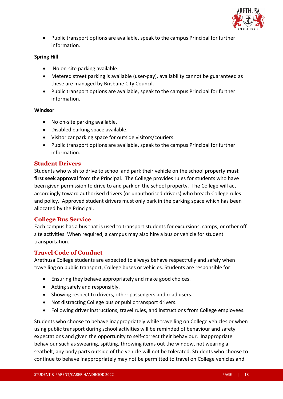

• Public transport options are available, speak to the campus Principal for further information.

#### **Spring Hill**

- No on-site parking available.
- Metered street parking is available (user-pay), availability cannot be guaranteed as these are managed by Brisbane City Council.
- Public transport options are available, speak to the campus Principal for further information.

#### **Windsor**

- No on-site parking available.
- Disabled parking space available.
- Visitor car parking space for outside visitors/couriers.
- Public transport options are available, speak to the campus Principal for further information.

#### **Student Drivers**

Students who wish to drive to school and park their vehicle on the school property **must first seek approval** from the Principal. The College provides rules for students who have been given permission to drive to and park on the school property. The College will act accordingly toward authorised drivers (or unauthorised drivers) who breach College rules and policy. Approved student drivers must only park in the parking space which has been allocated by the Principal.

#### **College Bus Service**

Each campus has a bus that is used to transport students for excursions, camps, or other offsite activities. When required, a campus may also hire a bus or vehicle for student transportation.

#### **Travel Code of Conduct**

Arethusa College students are expected to always behave respectfully and safely when travelling on public transport, College buses or vehicles. Students are responsible for:

- Ensuring they behave appropriately and make good choices.
- Acting safely and responsibly.
- Showing respect to drivers, other passengers and road users.
- Not distracting College bus or public transport drivers.
- Following driver instructions, travel rules, and instructions from College employees.

Students who choose to behave inappropriately while travelling on College vehicles or when using public transport during school activities will be reminded of behaviour and safety expectations and given the opportunity to self-correct their behaviour. Inappropriate behaviour such as swearing, spitting, throwing items out the window, not wearing a seatbelt, any body parts outside of the vehicle will not be tolerated. Students who choose to continue to behave inappropriately may not be permitted to travel on College vehicles and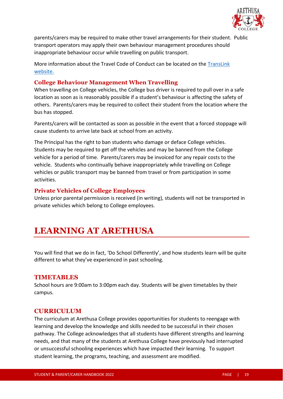

parents/carers may be required to make other travel arrangements for their student. Public transport operators may apply their own behaviour management procedures should inappropriate behaviour occur while travelling on public transport.

More information about the Travel Code of Conduct can be located on the [TransLink](https://translink.com.au/sites/default/files/assets/resources/travel-with-us/school-travel/code-of-conduct-for-students-travelling-on-buses.pdf)  [website.](https://translink.com.au/sites/default/files/assets/resources/travel-with-us/school-travel/code-of-conduct-for-students-travelling-on-buses.pdf)

#### **College Behaviour Management When Travelling**

When travelling on College vehicles, the College bus driver is required to pull over in a safe location as soon as is reasonably possible if a student's behaviour is affecting the safety of others. Parents/carers may be required to collect their student from the location where the bus has stopped.

Parents/carers will be contacted as soon as possible in the event that a forced stoppage will cause students to arrive late back at school from an activity.

The Principal has the right to ban students who damage or deface College vehicles. Students may be required to get off the vehicles and may be banned from the College vehicle for a period of time. Parents/carers may be invoiced for any repair costs to the vehicle. Students who continually behave inappropriately while travelling on College vehicles or public transport may be banned from travel or from participation in some activities.

#### **Private Vehicles of College Employees**

Unless prior parental permission is received (in writing), students will not be transported in private vehicles which belong to College employees.

# **LEARNING AT ARETHUSA**

You will find that we do in fact, 'Do School Differently', and how students learn will be quite different to what they've experienced in past schooling.

#### **TIMETABLES**

School hours are 9:00am to 3:00pm each day. Students will be given timetables by their campus.

#### **CURRICULUM**

The curriculum at Arethusa College provides opportunities for students to reengage with learning and develop the knowledge and skills needed to be successful in their chosen pathway. The College acknowledges that all students have different strengths and learning needs, and that many of the students at Arethusa College have previously had interrupted or unsuccessful schooling experiences which have impacted their learning. To support student learning, the programs, teaching, and assessment are modified.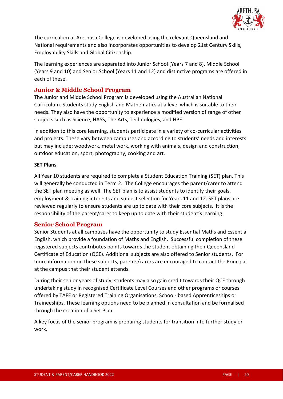

The curriculum at Arethusa College is developed using the relevant Queensland and National requirements and also incorporates opportunities to develop 21st Century Skills, Employability Skills and Global Citizenship.

The learning experiences are separated into Junior School (Years 7 and 8), Middle School (Years 9 and 10) and Senior School (Years 11 and 12) and distinctive programs are offered in each of these.

#### **Junior & Middle School Program**

The Junior and Middle School Program is developed using the Australian National Curriculum. Students study English and Mathematics at a level which is suitable to their needs. They also have the opportunity to experience a modified version of range of other subjects such as Science, HASS, The Arts, Technologies, and HPE.

In addition to this core learning, students participate in a variety of co-curricular activities and projects. These vary between campuses and according to students' needs and interests but may include; woodwork, metal work, working with animals, design and construction, outdoor education, sport, photography, cooking and art.

#### **SET Plans**

All Year 10 students are required to complete a Student Education Training (SET) plan. This will generally be conducted in Term 2. The College encourages the parent/carer to attend the SET plan meeting as well. The SET plan is to assist students to identify their goals, employment & training interests and subject selection for Years 11 and 12. SET plans are reviewed regularly to ensure students are up to date with their core subjects. It is the responsibility of the parent/carer to keep up to date with their student's learning.

#### **Senior School Program**

Senior Students at all campuses have the opportunity to study Essential Maths and Essential English, which provide a foundation of Maths and English. Successful completion of these registered subjects contributes points towards the student obtaining their Queensland Certificate of Education (QCE). Additional subjects are also offered to Senior students. For more information on these subjects, parents/carers are encouraged to contact the Principal at the campus that their student attends.

During their senior years of study, students may also gain credit towards their QCE through undertaking study in recognised Certificate Level Courses and other programs or courses offered by TAFE or Registered Training Organisations, School- based Apprenticeships or Traineeships. These learning options need to be planned in consultation and be formalised through the creation of a Set Plan.

A key focus of the senior program is preparing students for transition into further study or work.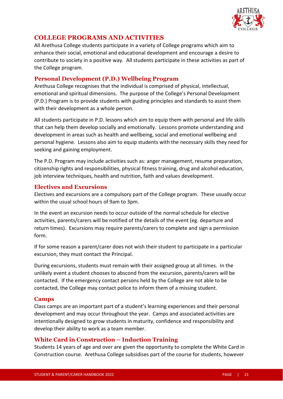

# **COLLEGE PROGRAMS AND ACTIVITIES**

All Arethusa College students participate in a variety of College programs which aim to enhance their social, emotional and educational development and encourage a desire to contribute to society in a positive way. All students participate in these activities as part of the College program.

#### **Personal Development (P.D.) Wellbeing Program**

Arethusa College recognises that the individual is comprised of physical, intellectual, emotional and spiritual dimensions. The purpose of the College's Personal Development (P.D.) Program is to provide students with guiding principles and standards to assist them with their development as a whole person.

All students participate in P.D. lessons which aim to equip them with personal and life skills that can help them develop socially and emotionally. Lessons promote understanding and development in areas such as health and wellbeing, social and emotional wellbeing and personal hygiene. Lessons also aim to equip students with the necessary skills they need for seeking and gaining employment.

The P.D. Program may include activities such as: anger management, resume preparation, citizenship rights and responsibilities, physical fitness training, drug and alcohol education, job interview techniques, health and nutrition, faith and values development.

# **Electives and Excursions**

Electives and excursions are a compulsory part of the College program. These usually occur within the usual school hours of 9am to 3pm.

In the event an excursion needs to occur outside of the normal schedule for elective activities, parents/carers will be notified of the details of the event (eg. departure and return times). Excursions may require parents/carers to complete and sign a permission form.

If for some reason a parent/carer does not wish their student to participate in a particular excursion, they must contact the Principal.

During excursions, students must remain with their assigned group at all times. In the unlikely event a student chooses to abscond from the excursion, parents/carers will be contacted. If the emergency contact persons held by the College are not able to be contacted, the College may contact police to inform them of a missing student.

#### **Camps**

Class camps are an important part of a student's learning experiences and their personal development and may occur throughout the year. Camps and associated activities are intentionally designed to grow students in maturity, confidence and responsibility and develop their ability to work as a team member.

# **White Card in Construction – Induction Training**

Students 14 years of age and over are given the opportunity to complete the White Card in Construction course. Arethusa College subsidises part of the course for students, however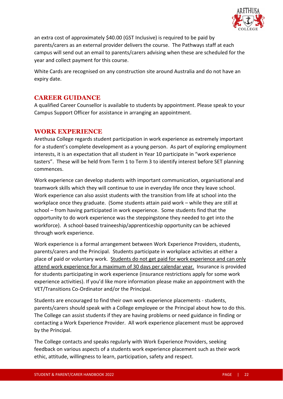

an extra cost of approximately \$40.00 (GST Inclusive) is required to be paid by parents/carers as an external provider delivers the course. The Pathways staff at each campus will send out an email to parents/carers advising when these are scheduled for the year and collect payment for this course.

White Cards are recognised on any construction site around Australia and do not have an expiry date.

#### **CAREER GUIDANCE**

A qualified Career Counsellor is available to students by appointment. Please speak to your Campus Support Officer for assistance in arranging an appointment.

#### **WORK EXPERIENCE**

Arethusa College regards student participation in work experience as extremely important for a student's complete development as a young person. As part of exploring employment interests, it is an expectation that all student in Year 10 participate in "work experience tasters". These will be held from Term 1 to Term 3 to identify interest before SET planning commences.

Work experience can develop students with important communication, organisational and teamwork skills which they will continue to use in everyday life once they leave school. Work experience can also assist students with the transition from life at school into the workplace once they graduate. (Some students attain paid work – while they are still at school – from having participated in work experience. Some students find that the opportunity to do work experience was the steppingstone they needed to get into the workforce). A school-based traineeship/apprenticeship opportunity can be achieved through work experience.

Work experience is a formal arrangement between Work Experience Providers, students, parents/carers and the Principal. Students participate in workplace activities at either a place of paid or voluntary work. Students do not get paid for work experience and can only attend work experience for a maximum of 30 days per calendar year. Insurance is provided for students participating in work experience (insurance restrictions apply for some work experience activities). If you'd like more information please make an appointment with the VET/Transitions Co-Ordinator and/or the Principal.

Students are encouraged to find their own work experience placements - students, parents/carers should speak with a College employee or the Principal about how to do this. The College can assist students if they are having problems or need guidance in finding or contacting a Work Experience Provider. All work experience placement must be approved by the Principal.

The College contacts and speaks regularly with Work Experience Providers, seeking feedback on various aspects of a students work experience placement such as their work ethic, attitude, willingness to learn, participation, safety and respect.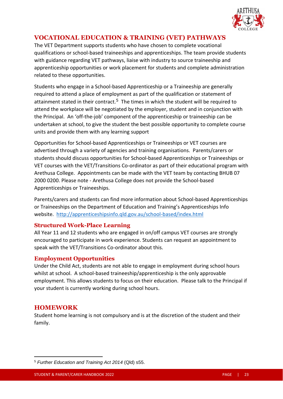

# **VOCATIONAL EDUCATION & TRAINING (VET) PATHWAYS**

The VET Department supports students who have chosen to complete vocational qualifications or school-based traineeships and apprenticeships. The team provide students with guidance regarding VET pathways, liaise with industry to source traineeship and apprenticeship opportunities or work placement for students and complete administration related to these opportunities.

Students who engage in a School-based Apprenticeship or a Traineeship are generally required to attend a place of employment as part of the qualification or statement of attainment stated in their contract.<sup>5</sup> The times in which the student will be required to attend the workplace will be negotiated by the employer, student and in conjunction with the Principal. An 'off-the-job' component of the apprenticeship or traineeship can be undertaken at school, to give the student the best possible opportunity to complete course units and provide them with any learning support

Opportunities for School-based Apprenticeships or Traineeships or VET courses are advertised through a variety of agencies and training organisations. Parents/carers or students should discuss opportunities for School-based Apprenticeships or Traineeships or VET courses with the VET/Transitions Co-ordinator as part of their educational program with Arethusa College. Appointments can be made with the VET team by contacting BHUB 07 2000 0200. Please note - Arethusa College does not provide the School-based Apprenticeships or Traineeships.

Parents/carers and students can find more information about School-based Apprenticeships or Traineeships on the Department of Education and Training's Apprenticeships Info website.<http://apprenticeshipsinfo.qld.gov.au/school-based/index.html>

#### **Structured Work-Place Learning**

All Year 11 and 12 students who are engaged in on/off campus VET courses are strongly encouraged to participate in work experience. Students can request an appointment to speak with the VET/Transitions Co-ordinator about this.

#### **Employment Opportunities**

Under the Child Act, students are not able to engage in employment during school hours whilst at school. A school-based traineeship/apprenticeship is the only approvable employment. This allows students to focus on their education. Please talk to the Principal if your student is currently working during school hours.

# **HOMEWORK**

Student home learning is not compulsory and is at the discretion of the student and their family.

<sup>5</sup> *Further Education and Training Act 2014* (Qld) s55.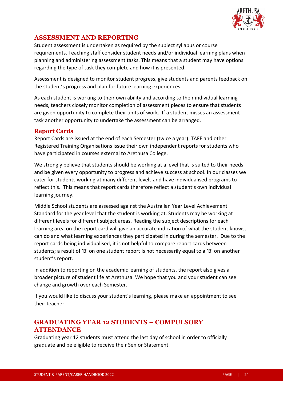

# **ASSESSMENT AND REPORTING**

Student assessment is undertaken as required by the subject syllabus or course requirements. Teaching staff consider student needs and/or individual learning plans when planning and administering assessment tasks. This means that a student may have options regarding the type of task they complete and how it is presented.

Assessment is designed to monitor student progress, give students and parents feedback on the student's progress and plan for future learning experiences.

As each student is working to their own ability and according to their individual learning needs, teachers closely monitor completion of assessment pieces to ensure that students are given opportunity to complete their units of work. If a student misses an assessment task another opportunity to undertake the assessment can be arranged.

#### **Report Cards**

Report Cards are issued at the end of each Semester (twice a year). TAFE and other Registered Training Organisations issue their own independent reports for students who have participated in courses external to Arethusa College.

We strongly believe that students should be working at a level that is suited to their needs and be given every opportunity to progress and achieve success at school. In our classes we cater for students working at many different levels and have individualised programs to reflect this. This means that report cards therefore reflect a student's own individual learning journey.

Middle School students are assessed against the Australian Year Level Achievement Standard for the year level that the student is working at. Students may be working at different levels for different subject areas. Reading the subject descriptions for each learning area on the report card will give an accurate indication of what the student knows, can do and what learning experiences they participated in during the semester. Due to the report cards being individualised, it is not helpful to compare report cards between students; a result of 'B' on one student report is not necessarily equal to a 'B' on another student's report.

In addition to reporting on the academic learning of students, the report also gives a broader picture of student life at Arethusa. We hope that you and your student can see change and growth over each Semester.

If you would like to discuss your student's learning, please make an appointment to see their teacher.

# **GRADUATING YEAR 12 STUDENTS – COMPULSORY ATTENDANCE**

Graduating year 12 students must attend the last day of school in order to officially graduate and be eligible to receive their Senior Statement.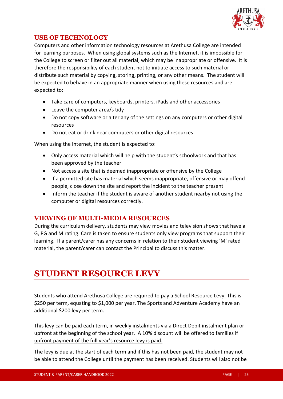

# **USE OF TECHNOLOGY**

Computers and other information technology resources at Arethusa College are intended for learning purposes. When using global systems such as the Internet, it is impossible for the College to screen or filter out all material, which may be inappropriate or offensive. It is therefore the responsibility of each student not to initiate access to such material or distribute such material by copying, storing, printing, or any other means. The student will be expected to behave in an appropriate manner when using these resources and are expected to:

- Take care of computers, keyboards, printers, iPads and other accessories
- Leave the computer area/s tidy
- Do not copy software or alter any of the settings on any computers or other digital resources
- Do not eat or drink near computers or other digital resources

When using the Internet, the student is expected to:

- Only access material which will help with the student's schoolwork and that has been approved by the teacher
- Not access a site that is deemed inappropriate or offensive by the College
- If a permitted site has material which seems inappropriate, offensive or may offend people, close down the site and report the incident to the teacher present
- Inform the teacher if the student is aware of another student nearby not using the computer or digital resources correctly.

#### **VIEWING OF MULTI-MEDIA RESOURCES**

During the curriculum delivery, students may view movies and television shows that have a G, PG and M rating. Care is taken to ensure students only view programs that support their learning. If a parent/carer has any concerns in relation to their student viewing 'M' rated material, the parent/carer can contact the Principal to discuss this matter.

# **STUDENT RESOURCE LEVY**

Students who attend Arethusa College are required to pay a School Resource Levy. This is \$250 per term, equating to \$1,000 per year. The Sports and Adventure Academy have an additional \$200 levy per term.

This levy can be paid each term, in weekly instalments via a Direct Debit instalment plan or upfront at the beginning of the school year. A 10% discount will be offered to families if upfront payment of the full year's resource levy is paid.

The levy is due at the start of each term and if this has not been paid, the student may not be able to attend the College until the payment has been received. Students will also not be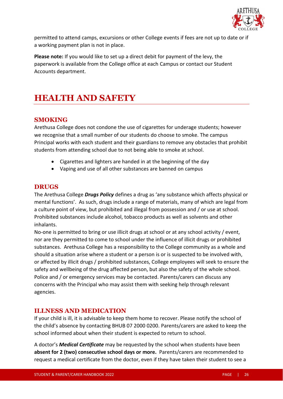

permitted to attend camps, excursions or other College events if fees are not up to date or if a working payment plan is not in place.

**Please note:** If you would like to set up a direct debit for payment of the levy, the paperwork is available from the College office at each Campus or contact our Student Accounts department.

# **HEALTH AND SAFETY**

# **SMOKING**

Arethusa College does not condone the use of cigarettes for underage students; however we recognise that a small number of our students do choose to smoke. The campus Principal works with each student and their guardians to remove any obstacles that prohibit students from attending school due to not being able to smoke at school.

- Cigarettes and lighters are handed in at the beginning of the day
- Vaping and use of all other substances are banned on campus

#### **DRUGS**

The Arethusa College *Drugs Policy* defines a drug as 'any substance which affects physical or mental functions'. As such, drugs include a range of materials, many of which are legal from a culture point of view, but prohibited and illegal from possession and / or use at school. Prohibited substances include alcohol, tobacco products as well as solvents and other inhalants.

No-one is permitted to bring or use illicit drugs at school or at any school activity / event, nor are they permitted to come to school under the influence of illicit drugs or prohibited substances. Arethusa College has a responsibility to the College community as a whole and should a situation arise where a student or a person is or is suspected to be involved with, or affected by illicit drugs / prohibited substances, College employees will seek to ensure the safety and wellbeing of the drug affected person, but also the safety of the whole school. Police and / or emergency services may be contacted. Parents/carers can discuss any concerns with the Principal who may assist them with seeking help through relevant agencies.

# **ILLNESS AND MEDICATION**

If your child is ill, it is advisable to keep them home to recover. Please notify the school of the child's absence by contacting BHUB 07 2000 0200. Parents/carers are asked to keep the school informed about when their student is expected to return to school.

A doctor's *Medical Certificate* may be requested by the school when students have been **absent for 2 (two) consecutive school days or more.** Parents/carers are recommended to request a medical certificate from the doctor, even if they have taken their student to see a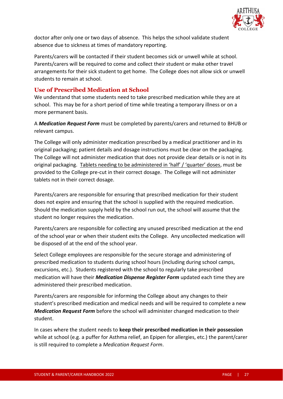

doctor after only one or two days of absence. This helps the school validate student absence due to sickness at times of mandatory reporting.

Parents/carers will be contacted if their student becomes sick or unwell while at school. Parents/carers will be required to come and collect their student or make other travel arrangements for their sick student to get home. The College does not allow sick or unwell students to remain at school.

#### **Use of Prescribed Medication at School**

We understand that some students need to take prescribed medication while they are at school. This may be for a short period of time while treating a temporary illness or on a more permanent basis.

A *Medication Request Form* must be completed by parents/carers and returned to BHUB or relevant campus.

The College will only administer medication prescribed by a medical practitioner and in its original packaging; patient details and dosage instructions must be clear on the packaging. The College will not administer medication that does not provide clear details or is not in its original packaging. Tablets needing to be administered in 'half' / 'quarter' doses, must be provided to the College pre-cut in their correct dosage. The College will not administer tablets not in their correct dosage.

Parents/carers are responsible for ensuring that prescribed medication for their student does not expire and ensuring that the school is supplied with the required medication. Should the medication supply held by the school run out, the school will assume that the student no longer requires the medication.

Parents/carers are responsible for collecting any unused prescribed medication at the end of the school year or when their student exits the College. Any uncollected medication will be disposed of at the end of the school year.

Select College employees are responsible for the secure storage and administering of prescribed medication to students during school hours (including during school camps, excursions, etc.). Students registered with the school to regularly take prescribed medication will have their *Medication Dispense Register Form* updated each time they are administered their prescribed medication.

Parents/carers are responsible for informing the College about any changes to their student's prescribed medication and medical needs and will be required to complete a new *Medication Request Form* before the school will administer changed medication to their student.

In cases where the student needs to **keep their prescribed medication in their possession** while at school (e.g. a puffer for Asthma relief, an Epipen for allergies, etc.) the parent/carer is still required to complete a *Medication Request Form*.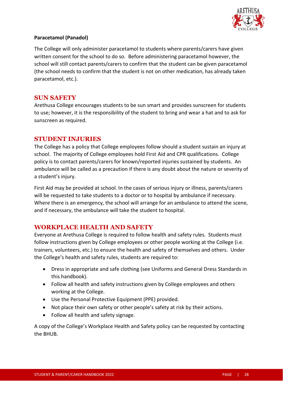

#### **Paracetamol (Panadol)**

The College will only administer paracetamol to students where parents/carers have given written consent for the school to do so. Before administering paracetamol however, the school will still contact parents/carers to confirm that the student can be given paracetamol (the school needs to confirm that the student is not on other medication, has already taken paracetamol, etc.).

#### **SUN SAFETY**

Arethusa College encourages students to be sun smart and provides sunscreen for students to use; however, it is the responsibility of the student to bring and wear a hat and to ask for sunscreen as required.

#### **STUDENT INJURIES**

The College has a policy that College employees follow should a student sustain an injury at school. The majority of College employees hold First Aid and CPR qualifications. College policy is to contact parents/carers for known/reported injuries sustained by students. An ambulance will be called as a precaution if there is any doubt about the nature or severity of a student's injury.

First Aid may be provided at school. In the cases of serious injury or illness, parents/carers will be requested to take students to a doctor or to hospital by ambulance if necessary. Where there is an emergency, the school will arrange for an ambulance to attend the scene, and if necessary, the ambulance will take the student to hospital.

# **WORKPLACE HEALTH AND SAFETY**

Everyone at Arethusa College is required to follow health and safety rules. Students must follow instructions given by College employees or other people working at the College (i.e. trainers, volunteers, etc.) to ensure the health and safety of themselves and others. Under the College's health and safety rules, students are required to:

- Dress in appropriate and safe clothing (see Uniforms and General Dress Standards in this handbook).
- Follow all health and safety instructions given by College employees and others working at the College.
- Use the Personal Protective Equipment (PPE) provided.
- Not place their own safety or other people's safety at risk by their actions.
- Follow all health and safety signage.

A copy of the College's Workplace Health and Safety policy can be requested by contacting the BHUB.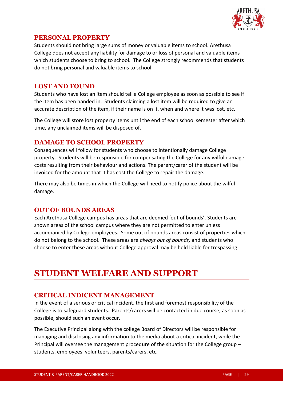

# **PERSONAL PROPERTY**

Students should not bring large sums of money or valuable items to school. Arethusa College does not accept any liability for damage to or loss of personal and valuable items which students choose to bring to school. The College strongly recommends that students do not bring personal and valuable items to school.

### **LOST AND FOUND**

Students who have lost an item should tell a College employee as soon as possible to see if the item has been handed in. Students claiming a lost item will be required to give an accurate description of the item, if their name is on it, when and where it was lost, etc.

The College will store lost property items until the end of each school semester after which time, any unclaimed items will be disposed of.

#### **DAMAGE TO SCHOOL PROPERTY**

Consequences will follow for students who choose to intentionally damage College property. Students will be responsible for compensating the College for any wilful damage costs resulting from their behaviour and actions. The parent/carer of the student will be invoiced for the amount that it has cost the College to repair the damage.

There may also be times in which the College will need to notify police about the wilful damage.

# **OUT OF BOUNDS AREAS**

Each Arethusa College campus has areas that are deemed 'out of bounds'. Students are shown areas of the school campus where they are not permitted to enter unless accompanied by College employees. Some out of bounds areas consist of properties which do not belong to the school. These areas are *always out of bounds,* and students who choose to enter these areas without College approval may be held liable for trespassing.

# **STUDENT WELFARE AND SUPPORT**

# **CRITICAL INDICENT MANAGEMENT**

In the event of a serious or critical incident, the first and foremost responsibility of the College is to safeguard students. Parents/carers will be contacted in due course, as soon as possible, should such an event occur.

The Executive Principal along with the college Board of Directors will be responsible for managing and disclosing any information to the media about a critical incident, while the Principal will oversee the management procedure of the situation for the College group – students, employees, volunteers, parents/carers, etc.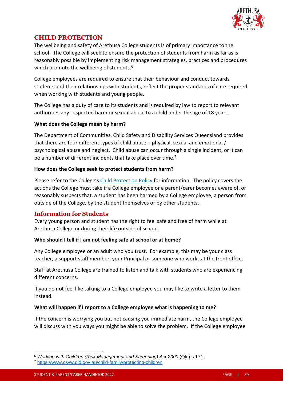

# **CHILD PROTECTION**

The wellbeing and safety of Arethusa College students is of primary importance to the school. The College will seek to ensure the protection of students from harm as far as is reasonably possible by implementing risk management strategies, practices and procedures which promote the wellbeing of students.<sup>6</sup>

College employees are required to ensure that their behaviour and conduct towards students and their relationships with students, reflect the proper standards of care required when working with students and young people.

The College has a duty of care to its students and is required by law to report to relevant authorities any suspected harm or sexual abuse to a child under the age of 18 years.

#### **What does the College mean by harm?**

The Department of Communities, Child Safety and Disability Services Queensland provides that there are four different types of child abuse – physical, sexual and emotional / psychological abuse and neglect. Child abuse can occur through a single incident, or it can be a number of different incidents that take place over time.<sup>7</sup>

#### **How does the College seek to protect students from harm?**

Please refer to the College's [Child Protection Policy](https://www.arethusa.qld.edu.au/policies/) for information. The policy covers the actions the College must take if a College employee or a parent/carer becomes aware of, or reasonably suspects that, a student has been harmed by a College employee, a person from outside of the College, by the student themselves or by other students.

#### **Information for Students**

Every young person and student has the right to feel safe and free of harm while at Arethusa College or during their life outside of school.

#### **Who should I tell if I am not feeling safe at school or at home?**

Any College employee or an adult who you trust. For example, this may be your class teacher, a support staff member, your Principal or someone who works at the front office.

Staff at Arethusa College are trained to listen and talk with students who are experiencing different concerns.

If you do not feel like talking to a College employee you may like to write a letter to them instead.

#### **What will happen if I report to a College employee what is happening to me?**

If the concern is worrying you but not causing you immediate harm, the College employee will discuss with you ways you might be able to solve the problem. If the College employee

<sup>6</sup> *Working with Children (Risk Management and Screening) Act 2000* (Qld) s 171.

<sup>7</sup> <https://www.csyw.qld.gov.au/child-family/protecting-children>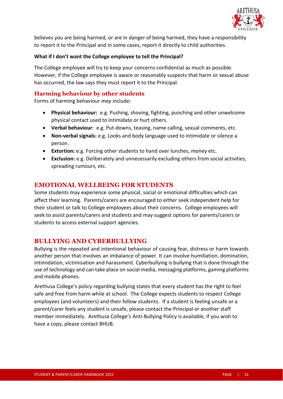

believes you are being harmed, or are in danger of being harmed, they have a responsibility to report it to the Principal and in some cases, report it directly to child authorities.

#### **What if I don't want the College employee to tell the Principal?**

The College employee will try to keep your concerns confidential as much as possible. However, if the College employee is aware or reasonably suspects that harm or sexual abuse has occurred, the law says they must report it to the Principal.

#### **Harming behaviour by other students**

Forms of harming behaviour *may* include:

- **Physical behaviour:** e.g. Pushing, shoving, fighting, punching and other unwelcome physical contact used to intimidate or hurt others.
- **Verbal behaviour**: e.g. Put-downs, teasing, name calling, sexual comments, etc.
- **Non-verbal signals:** e.g. Looks and body language used to intimidate or silence a person.
- **Extortion:** e.g. Forcing other students to hand over lunches, money etc.
- **Exclusion:** e.g. Deliberately and unnecessarily excluding others from social activities, spreading rumours, etc.

#### **EMOTIONAL WELLBEING FOR STUDENTS**

Some students may experience some physical, social or emotional difficulties which can affect their learning. Parents/carers are encouraged to either seek independent help for their student or talk to College employees about their concerns. College employees will seek to assist parents/carers and students and may suggest options for parents/carers or students to access external support agencies.

# **BULLYING AND CYBERBULLYING**

Bullying is the repeated and intentional behaviour of causing fear, distress or harm towards another person that involves an imbalance of power. It can involve humiliation, domination, intimidation, victimisation and harassment. Cyberbullying is bullying that is done through the use of technology and can take place on social media, messaging platforms, gaming platforms and mobile phones.

Arethusa College's policy regarding bullying states that every student has the right to feel safe and free from harm while at school. The College expects students to respect College employees (and volunteers) and their fellow students. If a student is feeling unsafe or a parent/carer feels any student is unsafe, please contact the Principal or another staff member immediately. Arethusa College's Anti-Bullying Policy is available, if you wish to have a copy, please contact BHUB.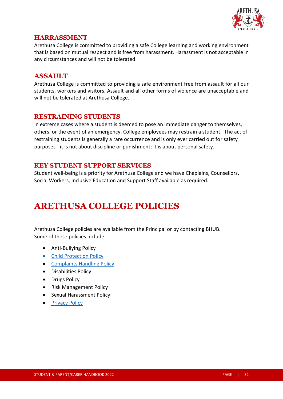

# **HARRASSMENT**

Arethusa College is committed to providing a safe College learning and working environment that is based on mutual respect and is free from harassment. Harassment is not acceptable in any circumstances and will not be tolerated.

# **ASSAULT**

Arethusa College is committed to providing a safe environment free from assault for all our students, workers and visitors. Assault and all other forms of violence are unacceptable and will not be tolerated at Arethusa College.

# **RESTRAINING STUDENTS**

In extreme cases where a student is deemed to pose an immediate danger to themselves, others, or the event of an emergency, College employees may restrain a student. The act of restraining students is generally a rare occurrence and is only ever carried out for safety purposes - it is not about discipline or punishment; it is about personal safety.

# **KEY STUDENT SUPPORT SERVICES**

Student well-being is a priority for Arethusa College and we have Chaplains, Counsellors, Social Workers, Inclusive Education and Support Staff available as required.

# **ARETHUSA COLLEGE POLICIES**

Arethusa College policies are available from the Principal or by contacting BHUB. Some of these policies include:

- Anti-Bullying Policy
- [Child Protection Policy](https://www.arethusa.qld.edu.au/policies/)
- [Complaints Handling](https://www.arethusa.qld.edu.au/policies/) Policy
- Disabilities Policy
- Drugs Policy
- Risk Management Policy
- Sexual Harassment Policy
- [Privacy Policy](https://www.arethusa.qld.edu.au/policies/)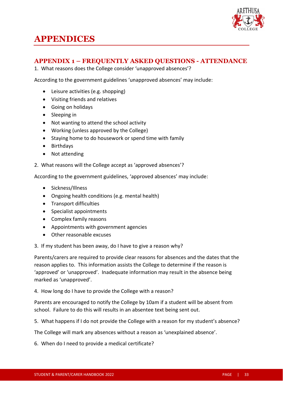

# **APPENDICES**

# **APPENDIX 1 – FREQUENTLY ASKED QUESTIONS - ATTENDANCE**

1. What reasons does the College consider 'unapproved absences'?

According to the government guidelines 'unapproved absences' may include:

- Leisure activities (e.g. shopping)
- Visiting friends and relatives
- Going on holidays
- Sleeping in
- Not wanting to attend the school activity
- Working (unless approved by the College)
- Staying home to do housework or spend time with family
- Birthdays
- Not attending
- 2. What reasons will the College accept as 'approved absences'?

According to the government guidelines, 'approved absences' may include:

- Sickness/Illness
- Ongoing health conditions (e.g. mental health)
- Transport difficulties
- Specialist appointments
- Complex family reasons
- Appointments with government agencies
- Other reasonable excuses
- 3. If my student has been away, do I have to give a reason why?

Parents/carers are required to provide clear reasons for absences and the dates that the reason applies to. This information assists the College to determine if the reason is 'approved' or 'unapproved'. Inadequate information may result in the absence being marked as 'unapproved'.

4. How long do I have to provide the College with a reason?

Parents are encouraged to notify the College by 10am if a student will be absent from school. Failure to do this will results in an absentee text being sent out.

5. What happens if I do not provide the College with a reason for my student's absence?

The College will mark any absences without a reason as 'unexplained absence'.

6. When do I need to provide a medical certificate?